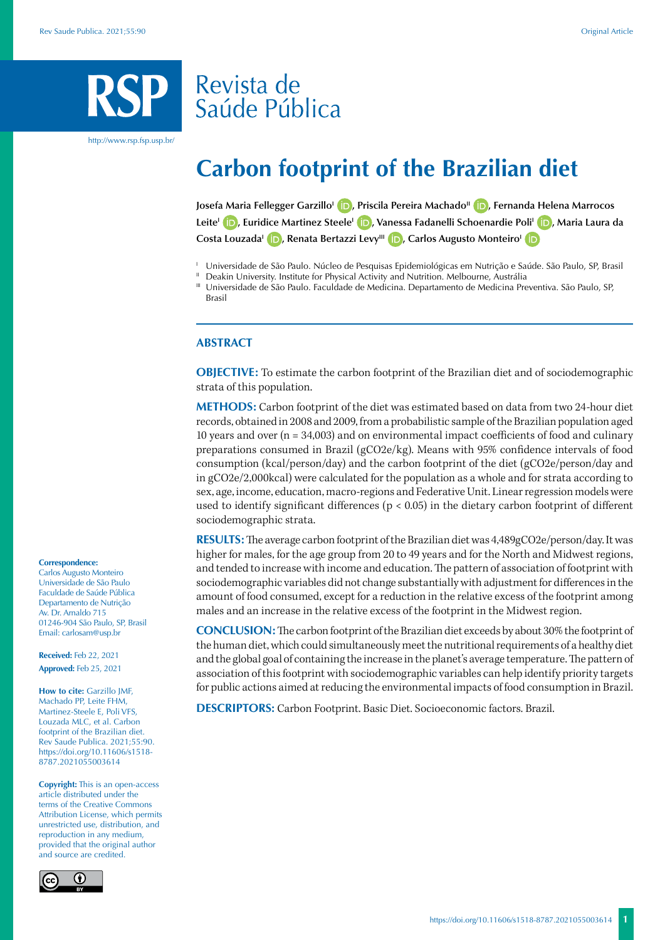## Revista de Saúde Pública

http://www.rsp.fsp.usp.br/

# **Carbon footprint of the Brazilian diet**

**Josefa Maria Fellegger GarzilloI [,](https://orcid.org/0000-0003-1671-5134) Priscila Pereira MachadoII [,](https://orcid.org/0000-0003-4607-5094) Fernanda Helena Marrocos LeiteI [,](https://orcid.org/0000-0003-0470-1974) Euridice Martinez SteeleI [,](https://orcid.org/0000-0002-2907-3153) Vanessa Fadanelli Schoenardie Poli <sup>I</sup> [,](https://orcid.org/0000-0002-7890-9770) Maria Laura da**  Costa Louzada<sup>1</sup> **D**[,](https://orcid.org/0000-0001-5388-7002) Renata Bertazzi Levy<sup>III</sup> **D**, Carlos Augusto Monteiro<sup>1</sup> **D** 

- <sup>1</sup> Universidade de São Paulo. Núcleo de Pesquisas Epidemiológicas em Nutrição e Saúde. São Paulo, SP, Brasil
- Deakin University. Institute for Physical Activity and Nutrition. Melbourne, Austrália
- Universidade de São Paulo. Faculdade de Medicina. Departamento de Medicina Preventiva. São Paulo, SP, Brasil

#### **ABSTRACT**

**OBJECTIVE:** To estimate the carbon footprint of the Brazilian diet and of sociodemographic strata of this population.

**METHODS:** Carbon footprint of the diet was estimated based on data from two 24-hour diet records, obtained in 2008 and 2009, from a probabilistic sample of the Brazilian population aged 10 years and over (n = 34,003) and on environmental impact coefficients of food and culinary preparations consumed in Brazil (gCO2e/kg). Means with 95% confidence intervals of food consumption (kcal/person/day) and the carbon footprint of the diet (gCO2e/person/day and in gCO2e/2,000kcal) were calculated for the population as a whole and for strata according to sex, age, income, education, macro-regions and Federative Unit. Linear regression models were used to identify significant differences (p < 0.05) in the dietary carbon footprint of different sociodemographic strata.

**RESULTS:** The average carbon footprint of the Brazilian diet was 4,489gCO2e/person/day. It was higher for males, for the age group from 20 to 49 years and for the North and Midwest regions, and tended to increase with income and education. The pattern of association of footprint with sociodemographic variables did not change substantially with adjustment for differences in the amount of food consumed, except for a reduction in the relative excess of the footprint among males and an increase in the relative excess of the footprint in the Midwest region.

**CONCLUSION:** The carbon footprint of the Brazilian diet exceeds by about 30% the footprint of the human diet, which could simultaneously meet the nutritional requirements of a healthy diet and the global goal of containing the increase in the planet's average temperature. The pattern of association of this footprint with sociodemographic variables can help identify priority targets for public actions aimed at reducing the environmental impacts of food consumption in Brazil.

**DESCRIPTORS:** Carbon Footprint. Basic Diet. Socioeconomic factors. Brazil.

#### **Correspondence:**

Carlos Augusto Monteiro Universidade de São Paulo Faculdade de Saúde Pública Departamento de Nutrição Av. Dr. Arnaldo 715 01246-904 São Paulo, SP, Brasil Email: carlosam@usp.br

**Received:** Feb 22, 2021 **Approved:** Feb 25, 2021

**How to cite:** Garzillo JMF, Machado PP, Leite FHM, Martinez-Steele E, Poli VFS, Louzada MLC, et al. Carbon footprint of the Brazilian diet. Rev Saude Publica. 2021;55:90. https://doi.org/10.11606/s1518- 8787.2021055003614

**Copyright:** This is an open-access article distributed under the terms of the Creative Commons Attribution License, which permits unrestricted use, distribution, and reproduction in any medium, provided that the original author and source are credited.

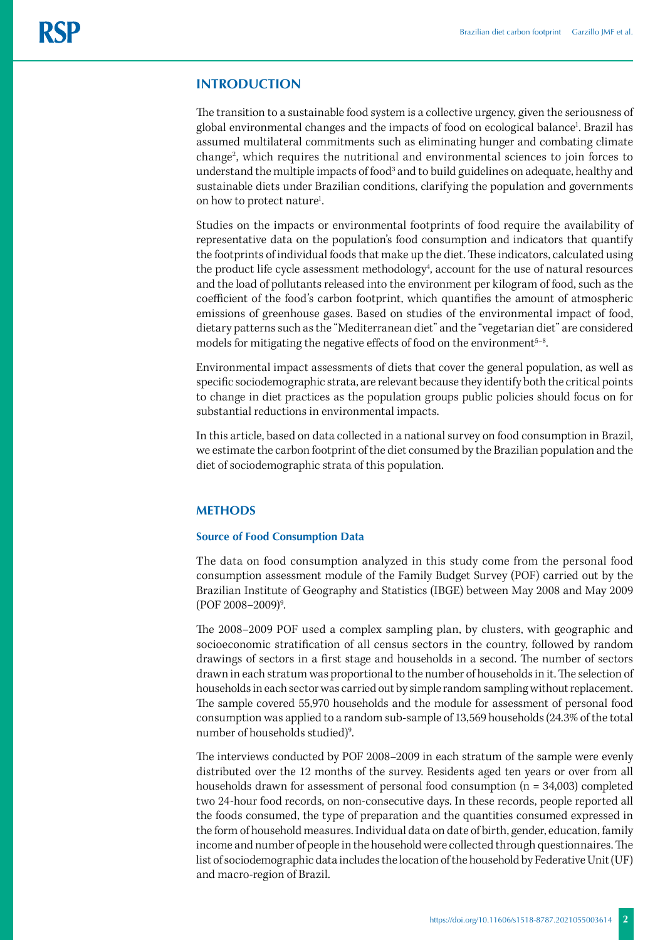### **INTRODUCTION**

The transition to a sustainable food system is a collective urgency, given the seriousness of global environmental changes and the impacts of food on ecological balance<sup>1</sup>. Brazil has assumed multilateral commitments such as eliminating hunger and combating climate change<sup>2</sup>, which requires the nutritional and environmental sciences to join forces to understand the multiple impacts of food<sup>3</sup> and to build guidelines on adequate, healthy and sustainable diets under Brazilian conditions, clarifying the population and governments on how to protect nature<sup>1</sup>. .

Studies on the impacts or environmental footprints of food require the availability of representative data on the population's food consumption and indicators that quantify the footprints of individual foods that make up the diet. These indicators, calculated using the product life cycle assessment methodology<sup>4</sup>, account for the use of natural resources and the load of pollutants released into the environment per kilogram of food, such as the coefficient of the food's carbon footprint, which quantifies the amount of atmospheric emissions of greenhouse gases. Based on studies of the environmental impact of food, dietary patterns such as the "Mediterranean diet" and the "vegetarian diet" are considered models for mitigating the negative effects of food on the environment<sup>5-8</sup>.

Environmental impact assessments of diets that cover the general population, as well as specific sociodemographic strata, are relevant because they identify both the critical points to change in diet practices as the population groups public policies should focus on for substantial reductions in environmental impacts.

In this article, based on data collected in a national survey on food consumption in Brazil, we estimate the carbon footprint of the diet consumed by the Brazilian population and the diet of sociodemographic strata of this population.

#### **METHODS**

#### **Source of Food Consumption Data**

The data on food consumption analyzed in this study come from the personal food consumption assessment module of the Family Budget Survey (POF) carried out by the Brazilian Institute of Geography and Statistics (IBGE) between May 2008 and May 2009  $($ POF 2008–2009 $)$ <sup>9</sup>.

The 2008–2009 POF used a complex sampling plan, by clusters, with geographic and socioeconomic stratification of all census sectors in the country, followed by random drawings of sectors in a first stage and households in a second. The number of sectors drawn in each stratum was proportional to the number of households in it. The selection of households in each sector was carried out by simple random sampling without replacement. The sample covered 55,970 households and the module for assessment of personal food consumption was applied to a random sub-sample of 13,569 households (24.3% of the total number of households studied)<sup>9</sup>.

The interviews conducted by POF 2008–2009 in each stratum of the sample were evenly distributed over the 12 months of the survey. Residents aged ten years or over from all households drawn for assessment of personal food consumption (n = 34,003) completed two 24-hour food records, on non-consecutive days. In these records, people reported all the foods consumed, the type of preparation and the quantities consumed expressed in the form of household measures. Individual data on date of birth, gender, education, family income and number of people in the household were collected through questionnaires. The list of sociodemographic data includes the location of the household by Federative Unit (UF) and macro-region of Brazil.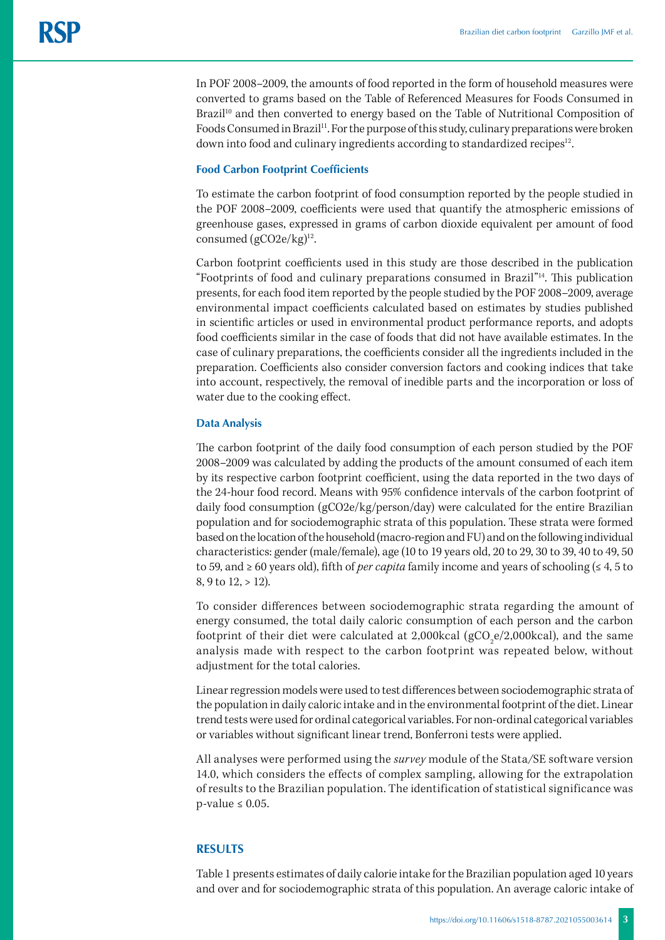In POF 2008–2009, the amounts of food reported in the form of household measures were converted to grams based on the Table of Referenced Measures for Foods Consumed in Brazil<sup>10</sup> and then converted to energy based on the Table of Nutritional Composition of Foods Consumed in Brazil<sup>11</sup>. For the purpose of this study, culinary preparations were broken down into food and culinary ingredients according to standardized recipes<sup>12</sup>.

#### **Food Carbon Footprint Coefficients**

To estimate the carbon footprint of food consumption reported by the people studied in the POF 2008–2009, coefficients were used that quantify the atmospheric emissions of greenhouse gases, expressed in grams of carbon dioxide equivalent per amount of food consumed  $(gCO2e/kg)^{12}$ .

Carbon footprint coefficients used in this study are those described in the publication "Footprints of food and culinary preparations consumed in Brazil"14. This publication presents, for each food item reported by the people studied by the POF 2008–2009, average environmental impact coefficients calculated based on estimates by studies published in scientific articles or used in environmental product performance reports, and adopts food coefficients similar in the case of foods that did not have available estimates. In the case of culinary preparations, the coefficients consider all the ingredients included in the preparation. Coefficients also consider conversion factors and cooking indices that take into account, respectively, the removal of inedible parts and the incorporation or loss of water due to the cooking effect.

#### **Data Analysis**

The carbon footprint of the daily food consumption of each person studied by the POF 2008–2009 was calculated by adding the products of the amount consumed of each item by its respective carbon footprint coefficient, using the data reported in the two days of the 24-hour food record. Means with 95% confidence intervals of the carbon footprint of daily food consumption (gCO2e/kg/person/day) were calculated for the entire Brazilian population and for sociodemographic strata of this population. These strata were formed based on the location of the household (macro-region and FU) and on the following individual characteristics: gender (male/female), age (10 to 19 years old, 20 to 29, 30 to 39, 40 to 49, 50 to 59, and ≥ 60 years old), fifth of *per capita* family income and years of schooling (≤ 4, 5 to 8, 9 to 12, > 12).

To consider differences between sociodemographic strata regarding the amount of energy consumed, the total daily caloric consumption of each person and the carbon footprint of their diet were calculated at 2,000kcal ( $\rm gCO^{-}_2 e/2,000kcal)$ , and the same analysis made with respect to the carbon footprint was repeated below, without adjustment for the total calories.

Linear regression models were used to test differences between sociodemographic strata of the population in daily caloric intake and in the environmental footprint of the diet. Linear trend tests were used for ordinal categorical variables. For non-ordinal categorical variables or variables without significant linear trend, Bonferroni tests were applied.

All analyses were performed using the *survey* module of the Stata*/*SE software version 14.0, which considers the effects of complex sampling, allowing for the extrapolation of results to the Brazilian population. The identification of statistical significance was  $p$ -value  $\leq 0.05$ .

### **RESULTS**

Table 1 presents estimates of daily calorie intake for the Brazilian population aged 10 years and over and for sociodemographic strata of this population. An average caloric intake of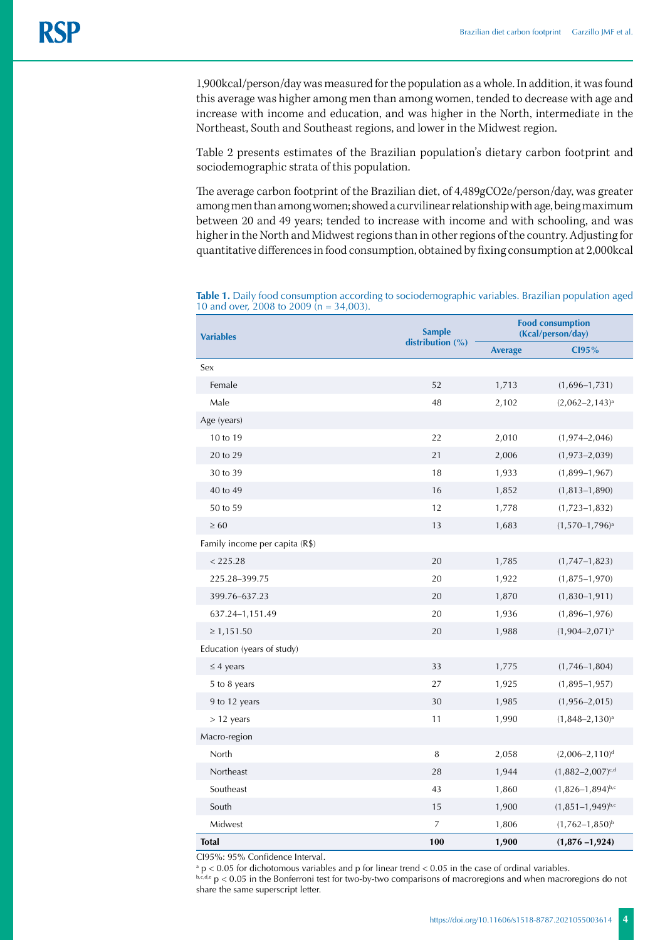1,900kcal/person/day was measured for the population as a whole. In addition, it was found this average was higher among men than among women, tended to decrease with age and increase with income and education, and was higher in the North, intermediate in the Northeast, South and Southeast regions, and lower in the Midwest region.

Table 2 presents estimates of the Brazilian population's dietary carbon footprint and sociodemographic strata of this population.

The average carbon footprint of the Brazilian diet, of 4,489gCO2e/person/day, was greater among men than among women; showed a curvilinear relationship with age, being maximum between 20 and 49 years; tended to increase with income and with schooling, and was higher in the North and Midwest regions than in other regions of the country. Adjusting for quantitative differences in food consumption, obtained by fixing consumption at 2,000kcal

| <b>Variables</b>               | <b>Sample</b><br>distribution (%) | <b>Food consumption</b><br>(Kcal/person/day) |                       |
|--------------------------------|-----------------------------------|----------------------------------------------|-----------------------|
|                                |                                   | <b>Average</b>                               | C195%                 |
| Sex                            |                                   |                                              |                       |
| Female                         | 52                                | 1,713                                        | $(1,696 - 1,731)$     |
| Male                           | 48                                | 2,102                                        | $(2,062-2,143)^a$     |
| Age (years)                    |                                   |                                              |                       |
| 10 to 19                       | 22                                | 2,010                                        | $(1,974 - 2,046)$     |
| 20 to 29                       | 21                                | 2,006                                        | $(1,973-2,039)$       |
| 30 to 39                       | 18                                | 1,933                                        | $(1,899-1,967)$       |
| 40 to 49                       | 16                                | 1,852                                        | $(1,813 - 1,890)$     |
| 50 to 59                       | 12                                | 1,778                                        | $(1,723-1,832)$       |
| $\geq 60$                      | 13                                | 1,683                                        | $(1,570-1,796)^a$     |
| Family income per capita (R\$) |                                   |                                              |                       |
| < 225.28                       | 20                                | 1,785                                        | $(1,747-1,823)$       |
| 225.28-399.75                  | 20                                | 1,922                                        | $(1,875-1,970)$       |
| 399.76-637.23                  | 20                                | 1,870                                        | $(1,830-1,911)$       |
| 637.24-1,151.49                | 20                                | 1,936                                        | $(1,896-1,976)$       |
| $\geq 1,151.50$                | 20                                | 1,988                                        | $(1,904 - 2,071)^a$   |
| Education (years of study)     |                                   |                                              |                       |
| $\leq$ 4 years                 | 33                                | 1,775                                        | $(1,746 - 1,804)$     |
| 5 to 8 years                   | 27                                | 1,925                                        | $(1,895-1,957)$       |
| 9 to 12 years                  | 30                                | 1,985                                        | $(1,956-2,015)$       |
| $> 12$ years                   | 11                                | 1,990                                        | $(1,848 - 2,130)^a$   |
| Macro-region                   |                                   |                                              |                       |
| North                          | 8                                 | 2,058                                        | $(2,006-2,110)^d$     |
| Northeast                      | 28                                | 1,944                                        | $(1,882-2,007)^{c,d}$ |
| Southeast                      | 43                                | 1,860                                        | $(1,826-1,894)^{b,c}$ |
| South                          | 15                                | 1,900                                        | $(1,851-1,949)^{b,c}$ |
| Midwest                        | $\overline{7}$                    | 1,806                                        | $(1,762-1,850)^{b}$   |
| <b>Total</b>                   | 100                               | 1,900                                        | $(1,876 - 1,924)$     |

**Table 1.** Daily food consumption according to sociodemographic variables. Brazilian population aged 10 and over, 2008 to 2009 ( $n = 34,003$ ).

CI95%: 95% Confidence Interval.

 $a$  p  $<$  0.05 for dichotomous variables and p for linear trend  $<$  0.05 in the case of ordinal variables.

 $b, c, d, e$  p  $\lt 0.05$  in the Bonferroni test for two-by-two comparisons of macroregions and when macroregions do not share the same superscript letter.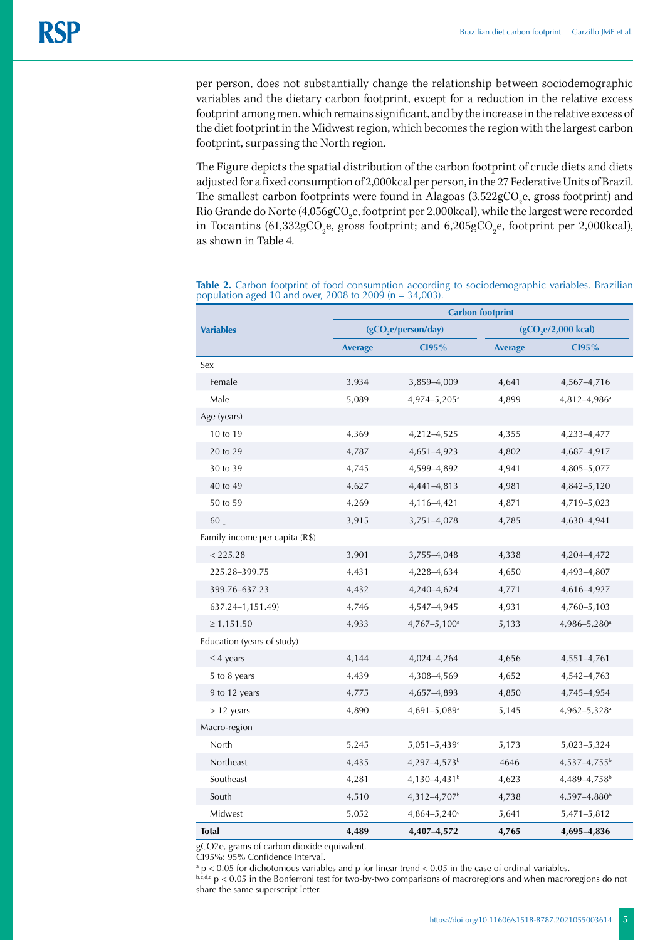per person, does not substantially change the relationship between sociodemographic variables and the dietary carbon footprint, except for a reduction in the relative excess footprint among men, which remains significant, and by the increase in the relative excess of the diet footprint in the Midwest region, which becomes the region with the largest carbon footprint, surpassing the North region.

The Figure depicts the spatial distribution of the carbon footprint of crude diets and diets adjusted for a fixed consumption of 2,000kcal per person, in the 27 Federative Units of Brazil. The smallest carbon footprints were found in Alagoas (3,522gCO<sub>2</sub>e, gross footprint) and Rio Grande do Norte (4,056gCO<sub>2</sub>e, footprint per 2,000kcal), while the largest were recorded in Tocantins (61,332gCO<sub>2</sub>e, gross footprint; and 6,205gCO<sub>2</sub>e, footprint per 2,000kcal), as shown in Table 4.

|                                | <b>Carbon footprint</b>         |                              |                                 |                          |
|--------------------------------|---------------------------------|------------------------------|---------------------------------|--------------------------|
| <b>Variables</b>               | (gCO <sub>2</sub> e/person/day) |                              | (gCO <sub>2</sub> e/2,000 kcal) |                          |
|                                | <b>Average</b>                  | C195%                        | <b>Average</b>                  | C195%                    |
| Sex                            |                                 |                              |                                 |                          |
| Female                         | 3,934                           | 3,859-4,009                  | 4,641                           | 4,567-4,716              |
| Male                           | 5,089                           | 4,974-5,205 <sup>a</sup>     | 4,899                           | 4,812-4,986 <sup>a</sup> |
| Age (years)                    |                                 |                              |                                 |                          |
| 10 to 19                       | 4,369                           | 4,212-4,525                  | 4,355                           | 4,233-4,477              |
| 20 to 29                       | 4,787                           | 4,651-4,923                  | 4,802                           | 4,687-4,917              |
| 30 to 39                       | 4,745                           | 4,599-4,892                  | 4,941                           | 4,805-5,077              |
| 40 to 49                       | 4,627                           | 4,441-4,813                  | 4,981                           | 4,842-5,120              |
| 50 to 59                       | 4,269                           | 4,116-4,421                  | 4,871                           | 4,719-5,023              |
| 60.                            | 3,915                           | 3,751-4,078                  | 4,785                           | 4,630-4,941              |
| Family income per capita (R\$) |                                 |                              |                                 |                          |
| < 225.28                       | 3,901                           | 3,755-4,048                  | 4,338                           | 4,204-4,472              |
| 225.28-399.75                  | 4,431                           | 4,228-4,634                  | 4,650                           | 4,493-4,807              |
| 399.76-637.23                  | 4,432                           | 4,240-4,624                  | 4,771                           | 4,616-4,927              |
| 637.24-1,151.49)               | 4,746                           | 4,547-4,945                  | 4,931                           | 4,760-5,103              |
| $\geq 1,151.50$                | 4,933                           | $4,767 - 5,100$ <sup>a</sup> | 5,133                           | 4,986-5,280 <sup>a</sup> |
| Education (years of study)     |                                 |                              |                                 |                          |
| $\leq$ 4 years                 | 4,144                           | 4,024-4,264                  | 4,656                           | 4,551-4,761              |
| 5 to 8 years                   | 4,439                           | 4,308-4,569                  | 4,652                           | 4,542-4,763              |
| 9 to 12 years                  | 4,775                           | 4,657-4,893                  | 4,850                           | 4,745-4,954              |
| $>$ 12 years                   | 4,890                           | 4,691-5,089 <sup>a</sup>     | 5,145                           | 4,962-5,328 <sup>a</sup> |
| Macro-region                   |                                 |                              |                                 |                          |
| North                          | 5,245                           | $5,051 - 5,439$ c            | 5,173                           | 5,023-5,324              |
| Northeast                      | 4,435                           | 4,297-4,573 <sup>b</sup>     | 4646                            | 4,537-4,755 <sup>b</sup> |
| Southeast                      | 4,281                           | 4,130-4,431 <sup>b</sup>     | 4,623                           | 4,489-4,758 <sup>b</sup> |
| South                          | 4,510                           | 4,312-4,707 <sup>b</sup>     | 4,738                           | 4,597-4,880 <sup>b</sup> |
| Midwest                        | 5,052                           | $4,864 - 5,240$ c            | 5,641                           | 5,471-5,812              |
| <b>Total</b>                   | 4,489                           | 4,407-4,572                  | 4,765                           | 4,695-4,836              |

**Table 2.** Carbon footprint of food consumption according to sociodemographic variables. Brazilian population aged 10 and over, 2008 to 2009 (n = 34,003).

gCO2e, grams of carbon dioxide equivalent.

CI95%: 95% Confidence Interval.

 $a$  p  $<$  0.05 for dichotomous variables and p for linear trend  $<$  0.05 in the case of ordinal variables.

 $b, c, d, e$  p  $\lt 0.05$  in the Bonferroni test for two-by-two comparisons of macroregions and when macroregions do not share the same superscript letter.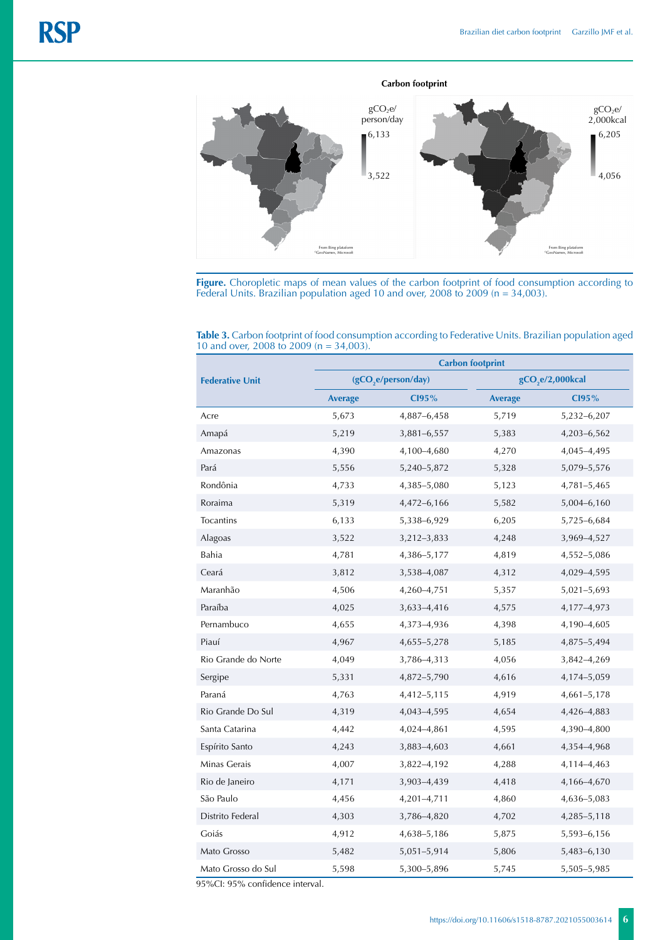

**Figure.** Choropletic maps of mean values of the carbon footprint of food consumption according to Federal Units. Brazilian population aged 10 and over, 2008 to 2009 (n = 34,003).

**Table 3.** Carbon footprint of food consumption according to Federative Units. Brazilian population aged 10 and over, 2008 to 2009 (n = 34,003).

|                        | <b>Carbon footprint</b>         |             |                              |                 |  |
|------------------------|---------------------------------|-------------|------------------------------|-----------------|--|
| <b>Federative Unit</b> | (gCO <sub>2</sub> e/person/day) |             | gCO <sub>2</sub> e/2,000kcal |                 |  |
|                        | <b>Average</b>                  | C195%       | <b>Average</b>               | C195%           |  |
| Acre                   | 5,673                           | 4,887-6,458 | 5,719                        | 5,232-6,207     |  |
| Amapá                  | 5,219                           | 3,881-6,557 | 5,383                        | 4,203-6,562     |  |
| Amazonas               | 4,390                           | 4,100-4,680 | 4,270                        | 4,045-4,495     |  |
| Pará                   | 5,556                           | 5,240-5,872 | 5,328                        | 5,079-5,576     |  |
| Rondônia               | 4,733                           | 4,385-5,080 | 5,123                        | 4,781-5,465     |  |
| Roraima                | 5,319                           | 4,472-6,166 | 5,582                        | 5,004-6,160     |  |
| <b>Tocantins</b>       | 6,133                           | 5,338-6,929 | 6,205                        | 5,725-6,684     |  |
| Alagoas                | 3,522                           | 3,212-3,833 | 4,248                        | 3,969-4,527     |  |
| Bahia                  | 4,781                           | 4,386-5,177 | 4,819                        | 4,552-5,086     |  |
| Ceará                  | 3,812                           | 3,538-4,087 | 4,312                        | 4,029-4,595     |  |
| Maranhão               | 4,506                           | 4,260-4,751 | 5,357                        | $5,021 - 5,693$ |  |
| Paraíba                | 4,025                           | 3,633-4,416 | 4,575                        | 4,177-4,973     |  |
| Pernambuco             | 4,655                           | 4,373-4,936 | 4,398                        | 4,190-4,605     |  |
| Piauí                  | 4,967                           | 4,655-5,278 | 5,185                        | 4,875-5,494     |  |
| Rio Grande do Norte    | 4,049                           | 3,786-4,313 | 4,056                        | 3,842-4,269     |  |
| Sergipe                | 5,331                           | 4,872-5,790 | 4,616                        | 4,174-5,059     |  |
| Paraná                 | 4,763                           | 4,412-5,115 | 4,919                        | 4,661-5,178     |  |
| Rio Grande Do Sul      | 4,319                           | 4,043-4,595 | 4,654                        | 4,426-4,883     |  |
| Santa Catarina         | 4,442                           | 4,024-4,861 | 4,595                        | 4,390-4,800     |  |
| Espírito Santo         | 4,243                           | 3,883-4,603 | 4,661                        | 4,354-4,968     |  |
| Minas Gerais           | 4,007                           | 3,822-4,192 | 4,288                        | 4,114-4,463     |  |
| Rio de Janeiro         | 4,171                           | 3,903-4,439 | 4,418                        | 4,166-4,670     |  |
| São Paulo              | 4,456                           | 4,201-4,711 | 4,860                        | 4,636-5,083     |  |
| Distrito Federal       | 4,303                           | 3,786-4,820 | 4,702                        | 4,285-5,118     |  |
| Goiás                  | 4,912                           | 4,638-5,186 | 5,875                        | 5,593-6,156     |  |
| Mato Grosso            | 5,482                           | 5,051-5,914 | 5,806                        | 5,483-6,130     |  |
| Mato Grosso do Sul     | 5,598                           | 5,300-5,896 | 5,745                        | 5,505-5,985     |  |

95%CI: 95% confidence interval.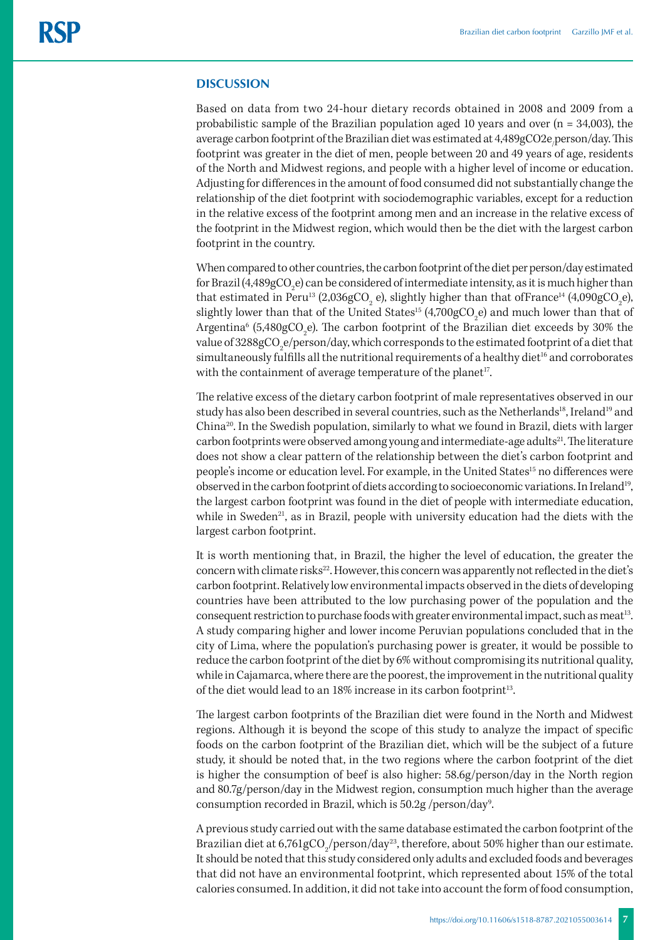#### **DISCUSSION**

Based on data from two 24-hour dietary records obtained in 2008 and 2009 from a probabilistic sample of the Brazilian population aged 10 years and over (n = 34,003), the average carbon footprint of the Brazilian diet was estimated at 4,489gCO2e<sub>/</sub>person/day. This footprint was greater in the diet of men, people between 20 and 49 years of age, residents of the North and Midwest regions, and people with a higher level of income or education. Adjusting for differences in the amount of food consumed did not substantially change the relationship of the diet footprint with sociodemographic variables, except for a reduction in the relative excess of the footprint among men and an increase in the relative excess of the footprint in the Midwest region, which would then be the diet with the largest carbon footprint in the country.

When compared to other countries, the carbon footprint of the diet per person/day estimated for Brazil (4,489gCO<sub>2</sub>e) can be considered of intermediate intensity, as it is much higher than that estimated in Peru<sup>13</sup> (2,036gCO<sub>2</sub> e), slightly higher than that ofFrance<sup>14</sup> (4,090gCO<sub>2</sub>e), slightly lower than that of the United States<sup>15</sup> (4,700gCO<sub>2</sub>e) and much lower than that of Argentina<sup>6</sup> (5,480gCO<sub>2</sub>e). The carbon footprint of the Brazilian diet exceeds by 30% the value of 3288gCO<sub>2</sub>e/person/day, which corresponds to the estimated footprint of a diet that simultaneously fulfills all the nutritional requirements of a healthy diet<sup>16</sup> and corroborates with the containment of average temperature of the planet<sup>17</sup>.

The relative excess of the dietary carbon footprint of male representatives observed in our study has also been described in several countries, such as the Netherlands<sup>18</sup>, Ireland<sup>19</sup> and China20. In the Swedish population, similarly to what we found in Brazil, diets with larger carbon footprints were observed among young and intermediate-age adults<sup>21</sup>. The literature does not show a clear pattern of the relationship between the diet's carbon footprint and people's income or education level. For example, in the United States<sup>15</sup> no differences were observed in the carbon footprint of diets according to socioeconomic variations. In Ireland19, the largest carbon footprint was found in the diet of people with intermediate education, while in Sweden<sup>21</sup>, as in Brazil, people with university education had the diets with the largest carbon footprint.

It is worth mentioning that, in Brazil, the higher the level of education, the greater the concern with climate risks<sup>22</sup>. However, this concern was apparently not reflected in the diet's carbon footprint. Relatively low environmental impacts observed in the diets of developing countries have been attributed to the low purchasing power of the population and the consequent restriction to purchase foods with greater environmental impact, such as meat<sup>13</sup>. A study comparing higher and lower income Peruvian populations concluded that in the city of Lima, where the population's purchasing power is greater, it would be possible to reduce the carbon footprint of the diet by 6% without compromising its nutritional quality, while in Cajamarca, where there are the poorest, the improvement in the nutritional quality of the diet would lead to an 18% increase in its carbon footprint<sup>13</sup>.

The largest carbon footprints of the Brazilian diet were found in the North and Midwest regions. Although it is beyond the scope of this study to analyze the impact of specific foods on the carbon footprint of the Brazilian diet, which will be the subject of a future study, it should be noted that, in the two regions where the carbon footprint of the diet is higher the consumption of beef is also higher: 58.6g/person/day in the North region and 80.7g/person/day in the Midwest region, consumption much higher than the average consumption recorded in Brazil, which is  $50.2g$  /person/day<sup>9</sup>. .

A previous study carried out with the same database estimated the carbon footprint of the Brazilian diet at 6,761gCO<sub>2</sub>/person/day<sup>23</sup>, therefore, about 50% higher than our estimate. It should be noted that this study considered only adults and excluded foods and beverages that did not have an environmental footprint, which represented about 15% of the total calories consumed. In addition, it did not take into account the form of food consumption,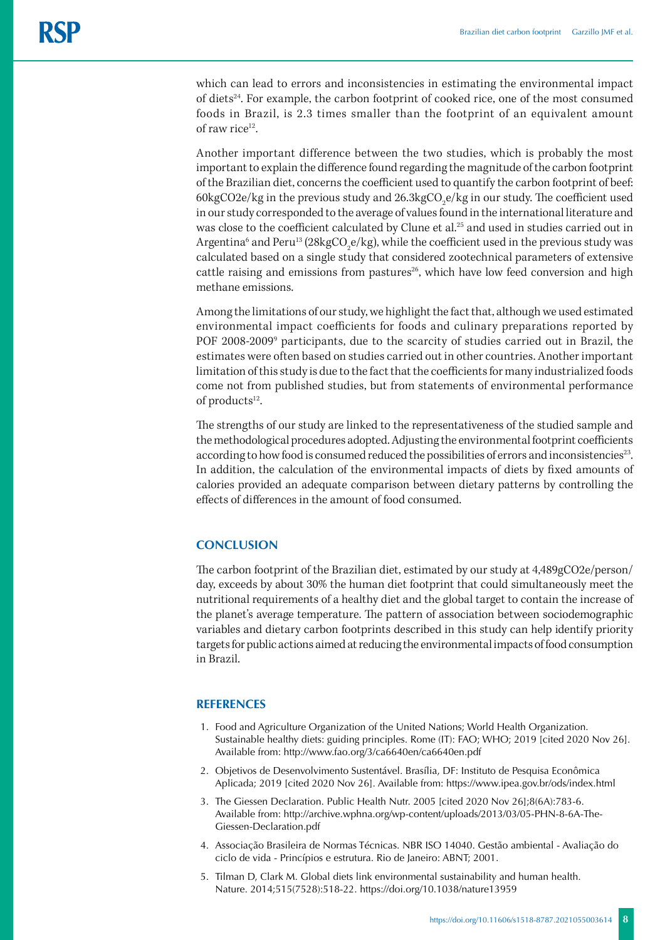which can lead to errors and inconsistencies in estimating the environmental impact of diets24. For example, the carbon footprint of cooked rice, one of the most consumed foods in Brazil, is 2.3 times smaller than the footprint of an equivalent amount of raw rice<sup>12</sup>.

Another important difference between the two studies, which is probably the most important to explain the difference found regarding the magnitude of the carbon footprint of the Brazilian diet, concerns the coefficient used to quantify the carbon footprint of beef: 60kgCO2e/kg in the previous study and  $26.3\text{kgCO}_2$ e/kg in our study. The coefficient used in our study corresponded to the average of values found in the international literature and was close to the coefficient calculated by Clune et al.25 and used in studies carried out in Argentina $^6$  and Peru $^{13}$  (28kgCO<sub>2</sub>e/kg), while the coefficient used in the previous study was calculated based on a single study that considered zootechnical parameters of extensive cattle raising and emissions from pastures<sup>26</sup>, which have low feed conversion and high methane emissions.

Among the limitations of our study, we highlight the fact that, although we used estimated environmental impact coefficients for foods and culinary preparations reported by POF 2008-2009<sup>9</sup> participants, due to the scarcity of studies carried out in Brazil, the estimates were often based on studies carried out in other countries. Another important limitation of this study is due to the fact that the coefficients for many industrialized foods come not from published studies, but from statements of environmental performance of products $12$ .

The strengths of our study are linked to the representativeness of the studied sample and the methodological procedures adopted. Adjusting the environmental footprint coefficients according to how food is consumed reduced the possibilities of errors and inconsistencies<sup>23</sup>. In addition, the calculation of the environmental impacts of diets by fixed amounts of calories provided an adequate comparison between dietary patterns by controlling the effects of differences in the amount of food consumed.

### **CONCLUSION**

The carbon footprint of the Brazilian diet, estimated by our study at 4,489gCO2e/person/ day, exceeds by about 30% the human diet footprint that could simultaneously meet the nutritional requirements of a healthy diet and the global target to contain the increase of the planet's average temperature. The pattern of association between sociodemographic variables and dietary carbon footprints described in this study can help identify priority targets for public actions aimed at reducing the environmental impacts of food consumption in Brazil.

#### **REFERENCES**

- 1. Food and Agriculture Organization of the United Nations; World Health Organization. Sustainable healthy diets: guiding principles. Rome (IT): FAO; WHO; 2019 [cited 2020 Nov 26]. Available from: http://www.fao.org/3/ca6640en/ca6640en.pdf
- 2. Objetivos de Desenvolvimento Sustentável. Brasília, DF: Instituto de Pesquisa Econômica Aplicada; 2019 [cited 2020 Nov 26]. Available from: <https://www.ipea.gov.br/ods/index.html>
- 3. The Giessen Declaration. Public Health Nutr. 2005 [cited 2020 Nov 26];8(6A):783-6. Available from: http://archive.wphna.org/wp-content/uploads/2013/03/05-PHN-8-6A-The-Giessen-Declaration.pdf
- 4. Associação Brasileira de Normas Técnicas. NBR ISO 14040. Gestão ambiental Avaliação do ciclo de vida - Princípios e estrutura. Rio de Janeiro: ABNT; 2001.
- 5. Tilman D, Clark M. Global diets link environmental sustainability and human health. Nature. 2014;515(7528):518-22.<https://doi.org/10.1038/nature13959>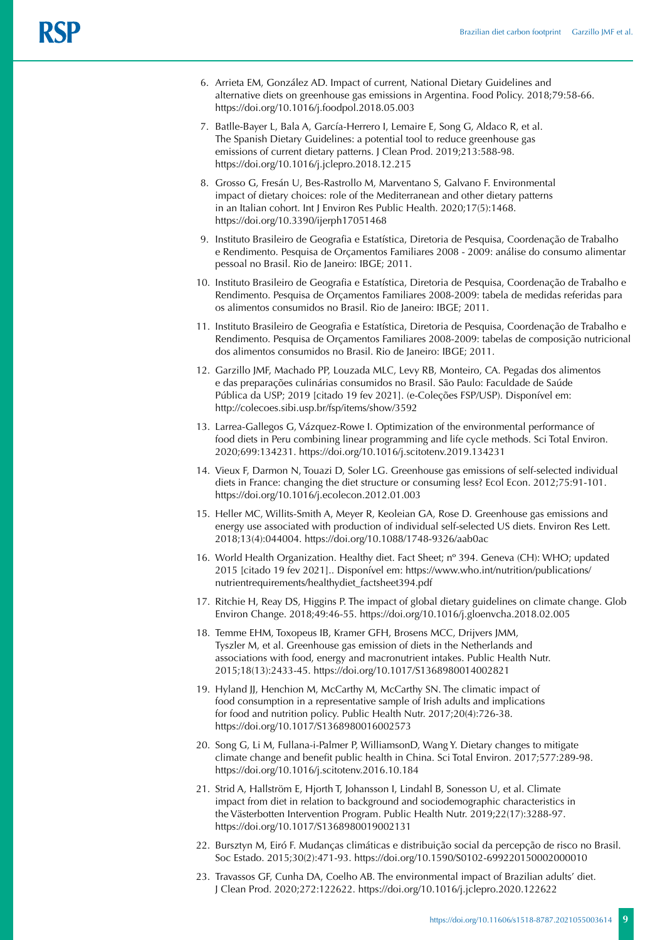- 6. Arrieta EM, González AD. Impact of current, National Dietary Guidelines and alternative diets on greenhouse gas emissions in Argentina. Food Policy. 2018;79:58-66. <https://doi.org/10.1016/j.foodpol.2018.05.003>
- 7. Batlle-Bayer L, Bala A, García-Herrero I, Lemaire E, Song G, Aldaco R, et al. The Spanish Dietary Guidelines: a potential tool to reduce greenhouse gas emissions of current dietary patterns. J Clean Prod. 2019;213:588-98. <https://doi.org/10.1016/j.jclepro.2018.12.215>
- 8. Grosso G, Fresán U, Bes-Rastrollo M, Marventano S, Galvano F. Environmental impact of dietary choices: role of the Mediterranean and other dietary patterns in an Italian cohort. Int J Environ Res Public Health. 2020;17(5):1468. https://doi.org/10.3390/ijerph17051468
- 9. Instituto Brasileiro de Geografia e Estatística, Diretoria de Pesquisa, Coordenação de Trabalho e Rendimento. Pesquisa de Orçamentos Familiares 2008 - 2009: análise do consumo alimentar pessoal no Brasil. Rio de Janeiro: IBGE; 2011.
- 10. Instituto Brasileiro de Geografia e Estatística, Diretoria de Pesquisa, Coordenação de Trabalho e Rendimento. Pesquisa de Orçamentos Familiares 2008-2009: tabela de medidas referidas para os alimentos consumidos no Brasil. Rio de Janeiro: IBGE; 2011.
- 11. Instituto Brasileiro de Geografia e Estatística, Diretoria de Pesquisa, Coordenação de Trabalho e Rendimento. Pesquisa de Orçamentos Familiares 2008-2009: tabelas de composição nutricional dos alimentos consumidos no Brasil. Rio de Janeiro: IBGE; 2011.
- 12. Garzillo JMF, Machado PP, Louzada MLC, Levy RB, Monteiro, CA. Pegadas dos alimentos e das preparações culinárias consumidos no Brasil. São Paulo: Faculdade de Saúde Pública da USP; 2019 [citado 19 fev 2021]. (e-Coleções FSP/USP). Disponível em: <http://colecoes.sibi.usp.br/fsp/items/show/3592>
- 13. Larrea-Gallegos G, Vázquez-Rowe I. Optimization of the environmental performance of food diets in Peru combining linear programming and life cycle methods. Sci Total Environ. 2020;699:134231. <https://doi.org/10.1016/j.scitotenv.2019.134231>
- 14. Vieux F, Darmon N, Touazi D, Soler LG. Greenhouse gas emissions of self-selected individual diets in France: changing the diet structure or consuming less? Ecol Econ. 2012;75:91-101. <https://doi.org/10.1016/j.ecolecon.2012.01.003>
- 15. Heller MC, Willits-Smith A, Meyer R, Keoleian GA, Rose D. Greenhouse gas emissions and energy use associated with production of individual self-selected US diets. Environ Res Lett. 2018;13(4):044004. <https://doi.org/10.1088/1748-9326/aab0ac>
- 16. World Health Organization. Healthy diet. Fact Sheet; nº 394. Geneva (CH): WHO; updated 2015 [citado 19 fev 2021].. Disponível em: [https://www.who.int/nutrition/publications/](https://www.who.int/nutrition/publications/nutrientrequirements/healthydiet_factsheet394.pdf) [nutrientrequirements/healthydiet\\_factsheet394.pdf](https://www.who.int/nutrition/publications/nutrientrequirements/healthydiet_factsheet394.pdf)
- 17. Ritchie H, Reay DS, Higgins P. The impact of global dietary guidelines on climate change. Glob Environ Change. 2018;49:46-55.<https://doi.org/10.1016/j.gloenvcha.2018.02.005>
- 18. Temme EHM, Toxopeus IB, Kramer GFH, Brosens MCC, Drijvers JMM, Tyszler M, et al. Greenhouse gas emission of diets in the Netherlands and associations with food, energy and macronutrient intakes. Public Health Nutr. 2015;18(13):2433-45. <https://doi.org/10.1017/S1368980014002821>
- 19. Hyland JJ, Henchion M, McCarthy M, McCarthy SN. The climatic impact of food consumption in a representative sample of Irish adults and implications for food and nutrition policy. Public Health Nutr. 2017;20(4):726-38. <https://doi.org/10.1017/S1368980016002573>
- 20. Song G, Li M, Fullana-i-Palmer P, WilliamsonD, Wang Y. Dietary changes to mitigate climate change and benefit public health in China. Sci Total Environ. 2017;577:289-98. <https://doi.org/10.1016/j.scitotenv.2016.10.184>
- 21. Strid A, Hallström E, Hjorth T, Johansson I, Lindahl B, Sonesson U, et al. Climate impact from diet in relation to background and sociodemographic characteristics in the Västerbotten Intervention Program. Public Health Nutr. 2019;22(17):3288-97. <https://doi.org/10.1017/S1368980019002131>
- 22. Bursztyn M, Eiró F. Mudanças climáticas e distribuição social da percepção de risco no Brasil. Soc Estado. 2015;30(2):471-93.<https://doi.org/10.1590/S0102-699220150002000010>
- 23. Travassos GF, Cunha DA, Coelho AB. The environmental impact of Brazilian adults' diet. J Clean Prod. 2020;272:122622. https://doi.org/10.1016/j.jclepro.2020.122622